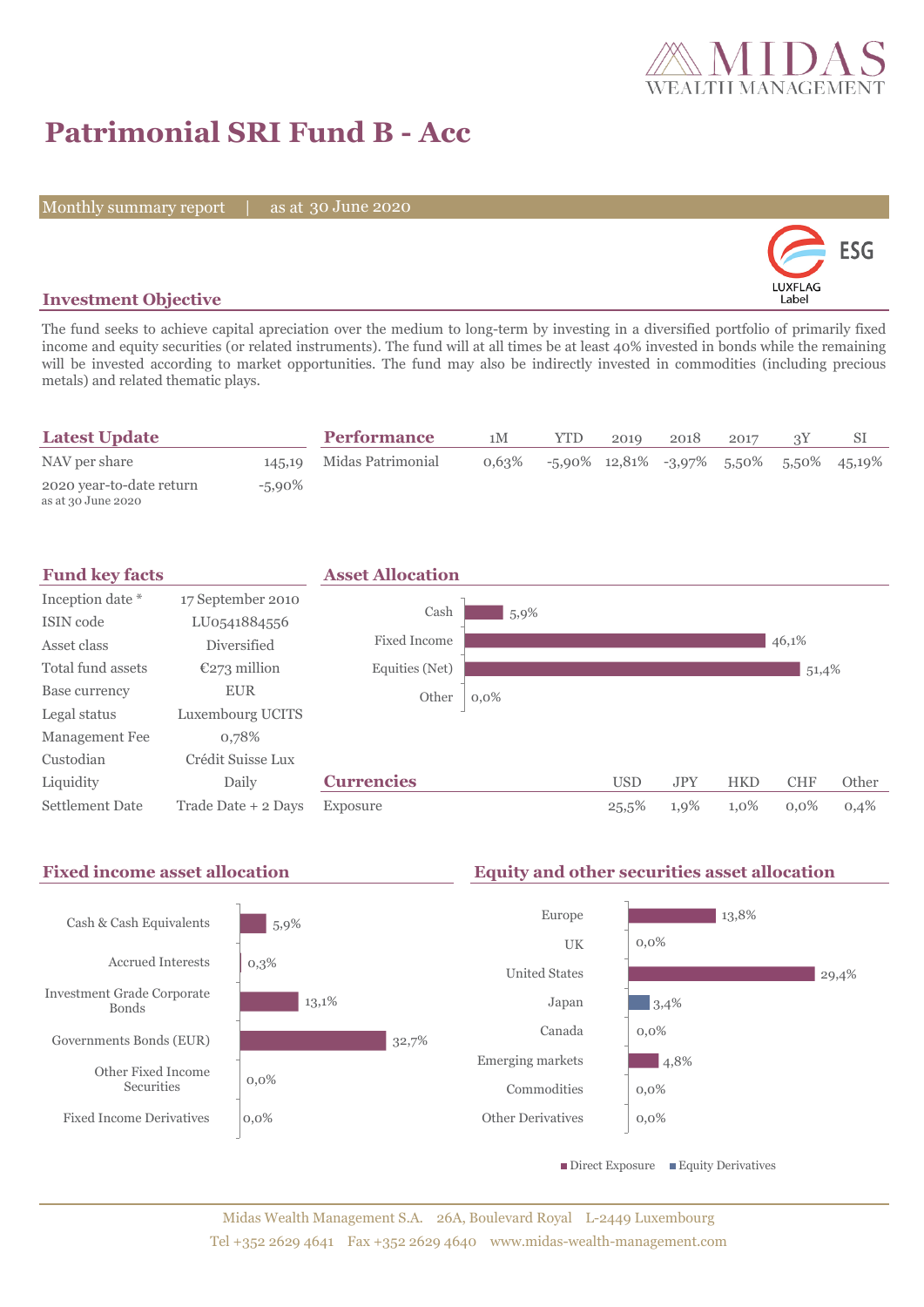

# **Patrimonial SRI Fund B - Acc**

Monthly summary report | as at 30 June 2020



## **Investment Objective**

The fund seeks to achieve capital apreciation over the medium to long-term by investing in a diversified portfolio of primarily fixed income and equity securities (or related instruments). The fund will at all times be at least 40% invested in bonds while the remaining will be invested according to market opportunities. The fund may also be indirectly invested in commodities (including precious metals) and related thematic plays.

| <b>Latest Update</b>                           |           | <b>Performance</b>       | 1M    | YTD. | 2019 | 2018 | 2017 | SI                                            |
|------------------------------------------------|-----------|--------------------------|-------|------|------|------|------|-----------------------------------------------|
| NAV per share                                  |           | 145,19 Midas Patrimonial | 0.63% |      |      |      |      | $-5.90\%$ 12,81% $-3.97\%$ 5,50% 5,50% 45,19% |
| 2020 year-to-date return<br>as at 30 June 2020 | $-5,90\%$ |                          |       |      |      |      |      |                                               |

| <b>Fund key facts</b>  |                     | <b>Asset Allocation</b> |         |            |            |            |            |       |
|------------------------|---------------------|-------------------------|---------|------------|------------|------------|------------|-------|
| Inception date *       | 17 September 2010   |                         |         |            |            |            |            |       |
| ISIN code              | LU0541884556        | Cash                    | 5,9%    |            |            |            |            |       |
| Asset class            | <b>Diversified</b>  | Fixed Income            |         |            |            |            | 46,1%      |       |
| Total fund assets      | $E273$ million      | Equities (Net)          |         |            |            |            | 51,4%      |       |
| Base currency          | <b>EUR</b>          | Other                   | $0,0\%$ |            |            |            |            |       |
| Legal status           | Luxembourg UCITS    |                         |         |            |            |            |            |       |
| Management Fee         | 0,78%               |                         |         |            |            |            |            |       |
| Custodian              | Crédit Suisse Lux   |                         |         |            |            |            |            |       |
| Liquidity              | Daily               | <b>Currencies</b>       |         | <b>USD</b> | <b>JPY</b> | <b>HKD</b> | <b>CHF</b> | Other |
| <b>Settlement Date</b> | Trade Date + 2 Days | Exposure                |         | 25,5%      | 1,9%       | 1,0%       | $0.0\%$    | 0,4%  |

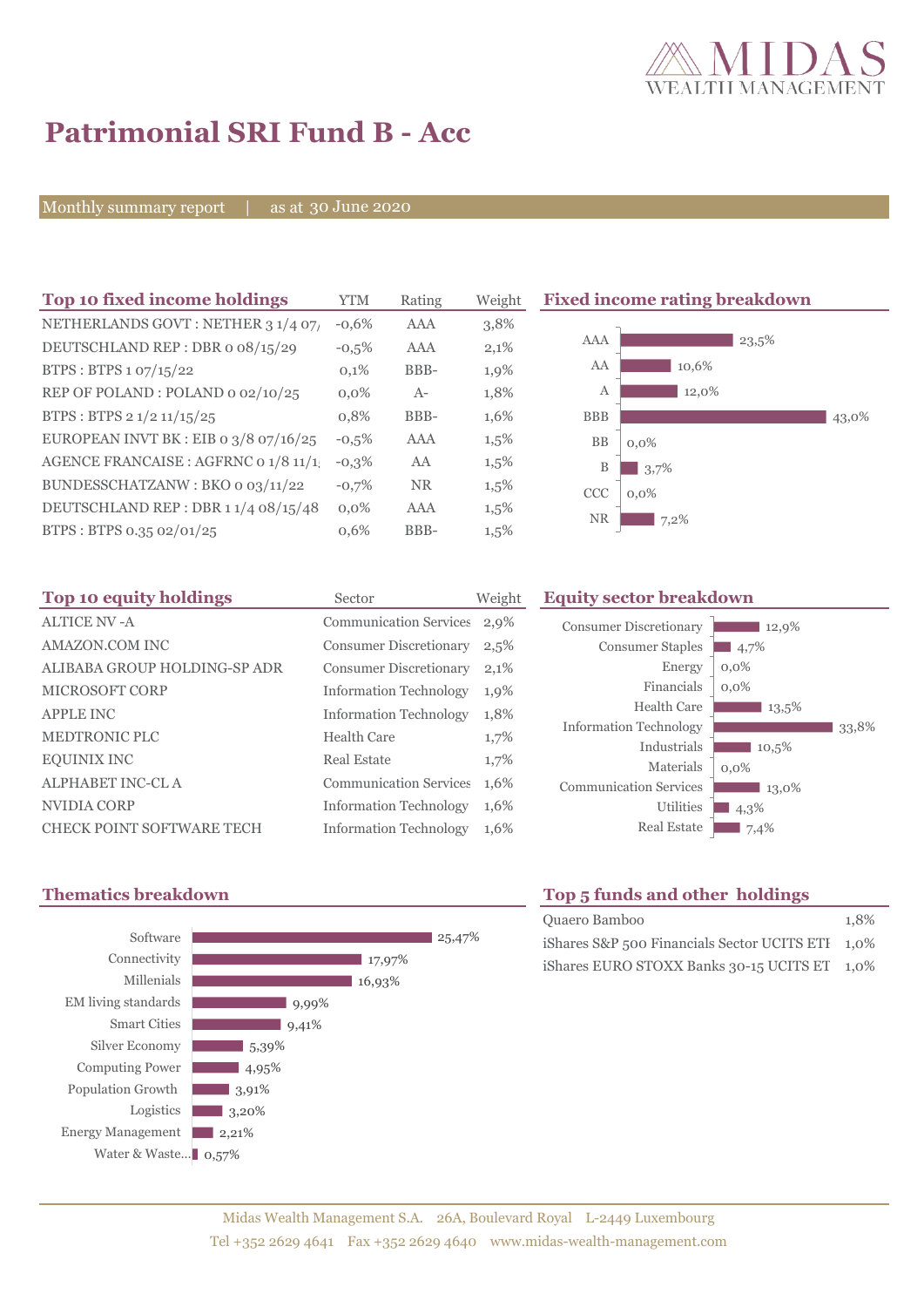

# **Patrimonial SRI Fund B - Acc**

Monthly summary report | as at 30 June 2020

| Top 10 fixed income holdings          | <b>YTM</b> | Rating    | Weigh |
|---------------------------------------|------------|-----------|-------|
| NETHERLANDS GOVT: NETHER 3 1/4 07/    | $-0.6%$    | AAA       | 3,8%  |
| DEUTSCHLAND REP: DBR o 08/15/29       | $-0,5%$    | AAA       | 2,1%  |
| BTPS: BTPS 1 07/15/22                 | 0,1%       | BBB-      | 1,9%  |
| REP OF POLAND: POLAND 0 02/10/25      | $0.0\%$    | $A -$     | 1,8%  |
| BTPS: BTPS 2 1/2 11/15/25             | 0,8%       | BBB-      | 1,6%  |
| EUROPEAN INVT BK : EIB o 3/8 07/16/25 | $-0.5%$    | AAA       | 1,5%  |
| AGENCE FRANCAISE : AGFRNC 0 1/8 11/1! | $-0.3%$    | AA        | 1,5%  |
| BUNDESSCHATZANW: BKO o 03/11/22       | $-0.7%$    | <b>NR</b> | 1,5%  |
| DEUTSCHLAND REP: DBR 11/4 08/15/48    | $0.0\%$    | AAA       | 1,5%  |
| BTPS: BTPS 0.35 02/01/25              | 0.6%       | BBB-      | 1,5%  |

**The 10 fixed income rating breakdown** 



| Top 10 equity holdings           | Sector                        | Weight  |
|----------------------------------|-------------------------------|---------|
| <b>ALTICE NV-A</b>               | <b>Communication Services</b> | 2,9%    |
| AMAZON.COM INC                   | <b>Consumer Discretionary</b> | 2,5%    |
| ALIBABA GROUP HOLDING-SP ADR     | <b>Consumer Discretionary</b> | 2,1%    |
| <b>MICROSOFT CORP</b>            | <b>Information Technology</b> | 1,9%    |
| <b>APPLE INC</b>                 | <b>Information Technology</b> | 1,8%    |
| <b>MEDTRONIC PLC</b>             | <b>Health Care</b>            | $1,7\%$ |
| <b>EQUINIX INC</b>               | Real Estate                   | 1,7%    |
| <b>ALPHABET INC-CLA</b>          | <b>Communication Services</b> | 1,6%    |
| NVIDIA CORP                      | <b>Information Technology</b> | 1,6%    |
| <b>CHECK POINT SOFTWARE TECH</b> | <b>Information Technology</b> | 1,6%    |

## **Equity sector breakdown**

| <b>Consumer Discretionary</b><br><b>Consumer Staples</b><br>Energy<br>Financials<br>Health Care<br><b>Information Technology</b> | 12,9%<br>4,7%<br>$0.0\%$<br>$0,0\%$<br>13,5% | 33,8% |
|----------------------------------------------------------------------------------------------------------------------------------|----------------------------------------------|-------|
| Industrials<br>Materials                                                                                                         | 10,5%<br>$0.0\%$                             |       |
| <b>Communication Services</b><br>Utilities<br><b>Real Estate</b>                                                                 | 13,0%<br>4,3%<br>7,4%                        |       |
|                                                                                                                                  |                                              |       |



# **Thematics breakdown Top 5 funds and other holdings**

| Quaero Bamboo                                          | 1.8% |
|--------------------------------------------------------|------|
| iShares $S\&P$ 500 Financials Sector UCITS ETI $1,0\%$ |      |
| iShares EURO STOXX Banks 30-15 UCITS ET 1,0%           |      |